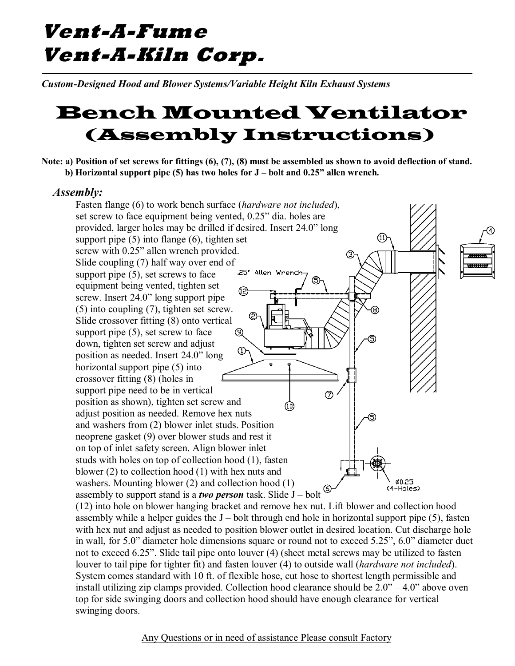## **Vent-A-Fume Vent-A-Kiln Corp.**

*Custom-Designed Hood and Blower Systems/Variable Height Kiln Exhaust Systems*

## Bench Mounted Ventilator (Assembly Instructions)

**Note: a) Position of set screws for fittings (6), (7), (8) must be assembled as shown to avoid deflection of stand. b) Horizontal support pipe (5) has two holes for J – bolt and 0.25" allen wrench.** 

## *Assembly:*

Fasten flange (6) to work bench surface (*hardware not included*), set screw to face equipment being vented, 0.25" dia. holes are provided, larger holes may be drilled if desired. Insert 24.0" long support pipe (5) into flange (6), tighten set  $(11)$ screw with 0.25" allen wrench provided. ③ Slide coupling (7) half way over end of .25' Allen Wrench support pipe  $(5)$ , set screws to face (5) equipment being vented, tighten set Œ, screw. Insert 24.0" long support pipe (5) into coupling (7), tighten set screw. Slide crossover fitting (8) onto vertical support pipe  $(5)$ , set screw to face Q down, tighten set screw and adjust  $^{\circ}$ position as needed. Insert 24.0" long horizontal support pipe (5) into crossover fitting (8) (holes in support pipe need to be in vertical の position as shown), tighten set screw and Œ adjust position as needed. Remove hex nuts and washers from (2) blower inlet studs. Position neoprene gasket (9) over blower studs and rest it on top of inlet safety screen. Align blower inlet studs with holes on top of collection hood (1), fasten blower (2) to collection hood (1) with hex nuts and washers. Mounting blower (2) and collection hood (1) Ø0.25 assembly to support stand is a *two person* task. Slide  $J - \text{ bolt}$ (4–Holes)

(12) into hole on blower hanging bracket and remove hex nut. Lift blower and collection hood assembly while a helper guides the  $J$  – bolt through end hole in horizontal support pipe  $(5)$ , fasten with hex nut and adjust as needed to position blower outlet in desired location. Cut discharge hole in wall, for 5.0" diameter hole dimensions square or round not to exceed 5.25", 6.0" diameter duct not to exceed 6.25". Slide tail pipe onto louver (4) (sheet metal screws may be utilized to fasten louver to tail pipe for tighter fit) and fasten louver (4) to outside wall (*hardware not included*). System comes standard with 10 ft. of flexible hose, cut hose to shortest length permissible and install utilizing zip clamps provided. Collection hood clearance should be  $2.0" - 4.0"$  above oven top for side swinging doors and collection hood should have enough clearance for vertical swinging doors.

Any Questions or in need of assistance Please consult Factory